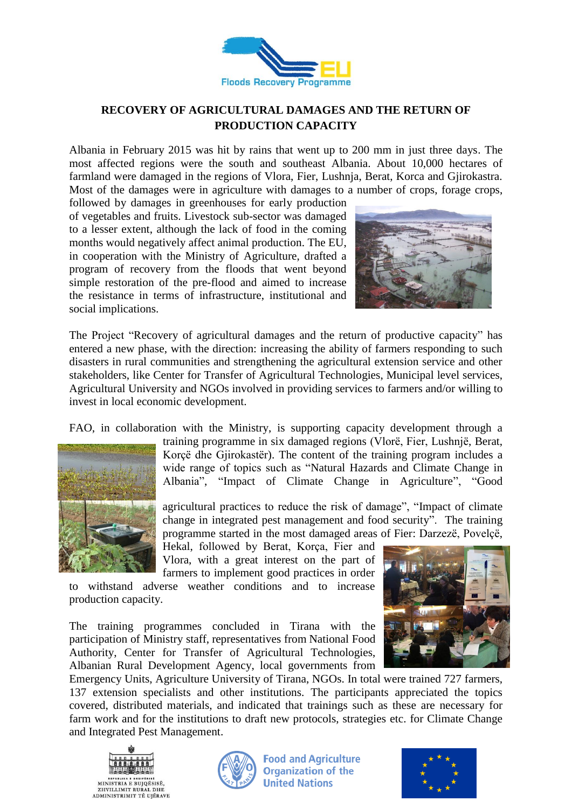

## **RECOVERY OF AGRICULTURAL DAMAGES AND THE RETURN OF PRODUCTION CAPACITY**

Albania in February 2015 was hit by rains that went up to 200 mm in just three days. The most affected regions were the south and southeast Albania. About 10,000 hectares of farmland were damaged in the regions of Vlora, Fier, Lushnja, Berat, Korca and Gjirokastra. Most of the damages were in agriculture with damages to a number of crops, forage crops,

followed by damages in greenhouses for early production of vegetables and fruits. Livestock sub-sector was damaged to a lesser extent, although the lack of food in the coming months would negatively affect animal production. The EU, in cooperation with the Ministry of Agriculture, drafted a program of recovery from the floods that went beyond simple restoration of the pre-flood and aimed to increase the resistance in terms of infrastructure, institutional and social implications.



The Project "Recovery of agricultural damages and the return of productive capacity" has entered a new phase, with the direction: increasing the ability of farmers responding to such disasters in rural communities and strengthening the agricultural extension service and other stakeholders, like Center for Transfer of Agricultural Technologies, Municipal level services, Agricultural University and NGOs involved in providing services to farmers and/or willing to invest in local economic development.

FAO, in collaboration with the Ministry, is supporting capacity development through a



training programme in six damaged regions (Vlorë, Fier, Lushnjë, Berat, Korçë dhe Gjirokastër). The content of the training program includes a wide range of topics such as "Natural Hazards and Climate Change in Albania", "Impact of Climate Change in Agriculture", "Good

agricultural practices to reduce the risk of damage", "Impact of climate change in integrated pest management and food security". The training programme started in the most damaged areas of Fier: Darzezë, Povelçë,

Hekal, followed by Berat, Korca, Fier and Vlora, with a great interest on the part of farmers to implement good practices in order

to withstand adverse weather conditions and to increase production capacity.

The training programmes concluded in Tirana with the participation of Ministry staff, representatives from National Food Authority, Center for Transfer of Agricultural Technologies, Albanian Rural Development Agency, local governments from



Emergency Units, Agriculture University of Tirana, NGOs. In total were trained 727 farmers, 137 extension specialists and other institutions. The participants appreciated the topics covered, distributed materials, and indicated that trainings such as these are necessary for farm work and for the institutions to draft new protocols, strategies etc. for Climate Change and Integrated Pest Management.





**Food and Agriculture Organization of the United Nations** 

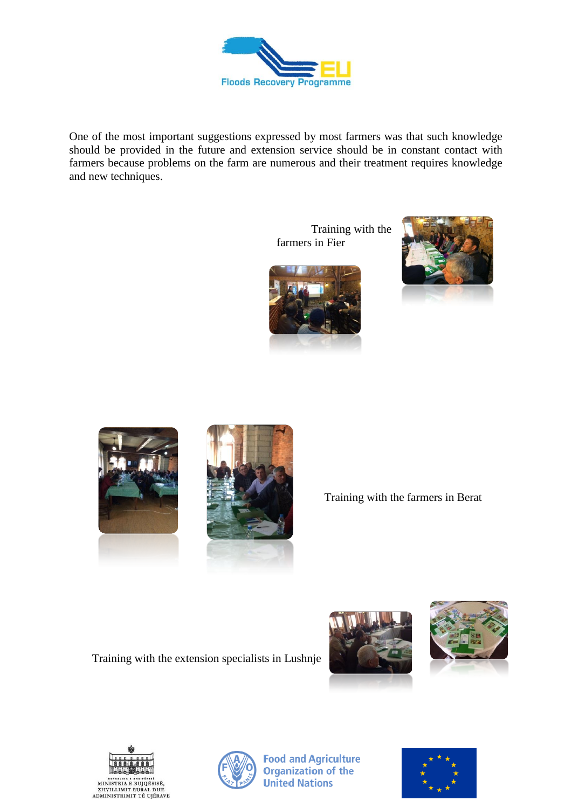

One of the most important suggestions expressed by most farmers was that such knowledge should be provided in the future and extension service should be in constant contact with farmers because problems on the farm are numerous and their treatment requires knowledge and new techniques.

> Training with the farmers in Fier









Training with the farmers in Berat

Training with the extension specialists in Lushnje









**Food and Agriculture Organization of the United Nations**